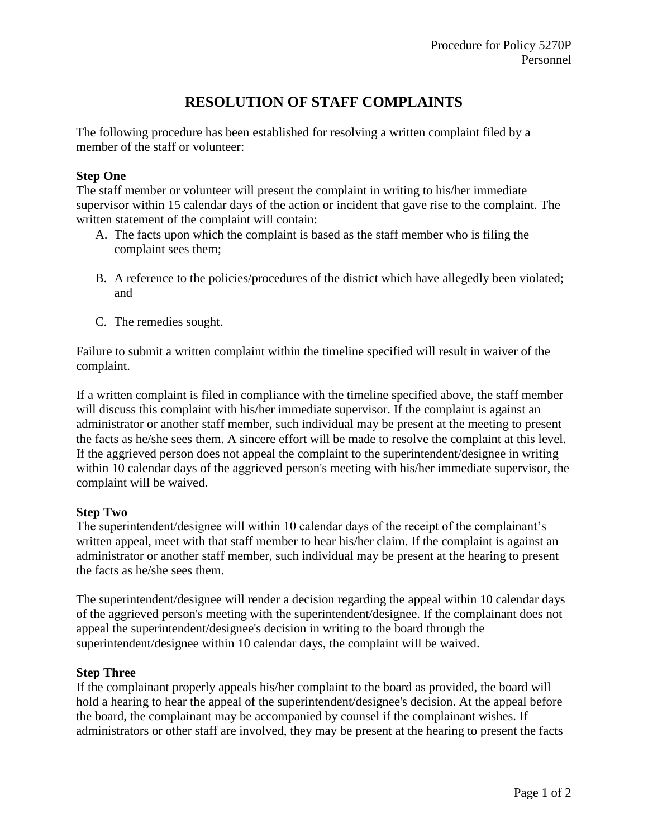## **RESOLUTION OF STAFF COMPLAINTS**

The following procedure has been established for resolving a written complaint filed by a member of the staff or volunteer:

## **Step One**

The staff member or volunteer will present the complaint in writing to his/her immediate supervisor within 15 calendar days of the action or incident that gave rise to the complaint. The written statement of the complaint will contain:

- A. The facts upon which the complaint is based as the staff member who is filing the complaint sees them;
- B. A reference to the policies/procedures of the district which have allegedly been violated; and
- C. The remedies sought.

Failure to submit a written complaint within the timeline specified will result in waiver of the complaint.

If a written complaint is filed in compliance with the timeline specified above, the staff member will discuss this complaint with his/her immediate supervisor. If the complaint is against an administrator or another staff member, such individual may be present at the meeting to present the facts as he/she sees them. A sincere effort will be made to resolve the complaint at this level. If the aggrieved person does not appeal the complaint to the superintendent/designee in writing within 10 calendar days of the aggrieved person's meeting with his/her immediate supervisor, the complaint will be waived.

## **Step Two**

The superintendent/designee will within 10 calendar days of the receipt of the complainant's written appeal, meet with that staff member to hear his/her claim. If the complaint is against an administrator or another staff member, such individual may be present at the hearing to present the facts as he/she sees them.

The superintendent/designee will render a decision regarding the appeal within 10 calendar days of the aggrieved person's meeting with the superintendent/designee. If the complainant does not appeal the superintendent/designee's decision in writing to the board through the superintendent/designee within 10 calendar days, the complaint will be waived.

## **Step Three**

If the complainant properly appeals his/her complaint to the board as provided, the board will hold a hearing to hear the appeal of the superintendent/designee's decision. At the appeal before the board, the complainant may be accompanied by counsel if the complainant wishes. If administrators or other staff are involved, they may be present at the hearing to present the facts